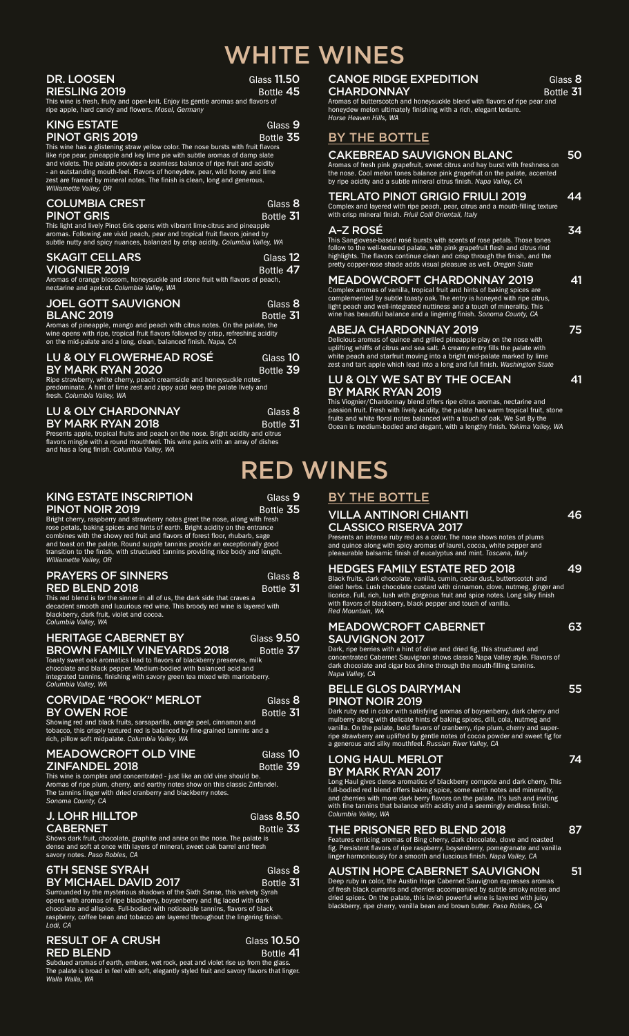# WHITE WINES

| DR. LOOSEN<br><b>RIESLING 2019</b><br>This wine is fresh, fruity and open-knit. Enjoy its gentle aromas and flavors of<br>ripe apple, hard candy and flowers. Mosel, Germany                                                                                                                                                                                                                                                                                                            | Glass 11.50<br>Bottle 45        |
|-----------------------------------------------------------------------------------------------------------------------------------------------------------------------------------------------------------------------------------------------------------------------------------------------------------------------------------------------------------------------------------------------------------------------------------------------------------------------------------------|---------------------------------|
| <b>KING ESTATE</b><br><b>PINOT GRIS 2019</b><br>This wine has a glistening straw yellow color. The nose bursts with fruit flavors<br>like ripe pear, pineapple and key lime pie with subtle aromas of damp slate<br>and violets. The palate provides a seamless balance of ripe fruit and acidity<br>- an outstanding mouth-feel. Flavors of honeydew, pear, wild honey and lime<br>zest are framed by mineral notes. The finish is clean, long and generous.<br>Williamette Valley, OR | Glass <sub>9</sub><br>Bottle 35 |
| <b>COLUMBIA CREST</b><br><b>PINOT GRIS</b><br>This light and lively Pinot Gris opens with vibrant lime-citrus and pineapple<br>aromas. Following are vivid peach, pear and tropical fruit flavors joined by<br>subtle nutty and spicy nuances, balanced by crisp acidity. Columbia Valley, WA                                                                                                                                                                                           | Glass 8<br>Bottle 31            |
| <b>SKAGIT CELLARS</b><br><b>VIOGNIER 2019</b><br>Aromas of orange blossom, honeysuckle and stone fruit with flavors of peach,<br>nectarine and apricot. Columbia Valley, WA                                                                                                                                                                                                                                                                                                             | Glass 12<br>Bottle 47           |
| <b>JOEL GOTT SAUVIGNON</b><br><b>BLANC 2019</b><br>Aromas of pineapple, mango and peach with citrus notes. On the palate, the<br>wine opens with ripe, tropical fruit flavors followed by crisp, refreshing acidity<br>on the mid-palate and a long, clean, balanced finish. Napa, CA                                                                                                                                                                                                   | Glass 8<br>Bottle 31            |
| LU & OLY FLOWERHEAD ROSÉ<br>BY MARK RYAN 2020<br>Ripe strawberry, white cherry, peach creamsicle and honeysuckle notes<br>predominate. A hint of lime zest and zippy acid keep the palate lively and<br>fresh. Columbia Valley, WA                                                                                                                                                                                                                                                      | Glass 10<br>Bottle 39           |
| <b>LU &amp; OLY CHARDONNAY</b><br>BY MARK RYAN 2018<br>Presents apple, tropical fruits and peach on the nose. Bright acidity and citrus                                                                                                                                                                                                                                                                                                                                                 | Glass 8<br>Bottle 31            |

flavors mingle with a round mouthfeel. This wine pairs with an array of dishes and has a long finish. *Columbia Valley, WA*

#### KING ESTATE INSCRIPTION Glass 9<br>PINOT NOIR 2019 Bottle 35 PINOT NOIR 2019

**RED** 

Glass 8<br>Bottle 31

Bright cherry, raspberry and strawberry notes greet the nose, along with fresh<br>rose petals, baking spices and hints of earth. Bright acidity on the entrance<br>combines with the showy red fruit and flavors of forest floor, rh and toast on the palate. Round supple tannins provide an exceptionally good transition to the finish, with structured tannins providing nice body and length. *Williamette Valley, OR*

| <b>PRAYERS OF SINNERS</b> |  |
|---------------------------|--|
| RED BLEND 2018.           |  |

RED BLEND 2018<br>This red blend is for the sinner in all of us, the dark side that craves a<br>decadent smooth and luxurious red wine. This broody red wine is layered with blackberry, dark fruit, violet and cocoa. *Columbia Valley, WA*

# HERITAGE CABERNET BY Glass 9.50<br>BROWN FAMILY VINEYARDS 2018 Bottle 37

**BROWN FAMILY VINEYARDS 2018** Bottle 37<br>Toasty sweet oak aromatics lead to flavors of blackberry preserves, milk<br>chocolate and black pepper. Medium-bodied with balanced acid and<br>integrated tannins, finishing with savory gr

### CORVIDAE "ROOK" MERLOT Glass 8<br>BY OWEN ROE Bottle 31

BY OWEN ROE<br>Showing red and black fruits, sarsaparilla, orange peel, cinnamon and<br>tobacco, this crisply textured red is balanced by fine-grained tannins and a<br>rich, pillow soft midpalate. *Columbia Valley, WA* 

| <b>MEADOWCROFT OLD VINE</b> | Glass 10  |
|-----------------------------|-----------|
| ZINFANDEL 2018              | Bottle 39 |

**ZINFANDEL 2018** Bottle 39<br>This wine is complex and concentrated - just like an old vine should be.<br>Aromas of ripe plum, cherry, and earthy notes show on this classic Zinfandel.<br>The tannins linger with dried cranberry and

| <b>J. LOHR HILLTOP</b> | Glass 8.50 |
|------------------------|------------|
| <b>CABERNET</b>        | Bottle 33  |

CABERNET<br>Shows dark fruit, chocolate, graphite and anise on the nose. The palate is<br>dense and soft at once with layers of mineral, sweet oak barrel and fresh savory notes. *Paso Robles, CA*

#### 6TH SENSE SYRAH Glass 8<br>
<u>BY MICHAEL</u> DAVID 2017 Bottle 31 BY MICHAEL DAVID 2017

Surrounded by the mysterious shadows of the Sixth Sense, this velvety Syrah<br>opens with aromas of ripe blackberry, boysenberry and fig laced with dark<br>chocolate and allspice. Full-bodied with noticeable tannins, flavors of raspberry, coffee bean and tobacco are layered throughout the lingering finish. *Lodi, CA*

# RESULT OF A CRUSH Glass 10.50<br>RED BLEND GLASS CONTRET Bottle 41

RED BLEND<br>Subdued aromas of earth, embers, wet rock, peat and violet rise up from the glass.<br>The palate is broad in feel with soft, elegantly styled fruit and savory flavors that linger. *Walla Walla, WA*

| <b>CANOE RIDGE EXPEDITION</b>                                                                                                                 | Glass 8   |
|-----------------------------------------------------------------------------------------------------------------------------------------------|-----------|
| <b>CHARDONNAY</b>                                                                                                                             | Bottle 31 |
| Aromas of butterscotch and honeysuckle blend with flavors of ripe pear and<br>laan ardan maalan ultimatahu finishin guutta a dahuulamb taduun |           |

honeydew melon ultimately finishing with a rich, elegant texture. *Horse Heaven Hills, WA*

| 1101001100101111110, 1111                                                                                                                                                                                                                                                                                                                                                                                                                      |    |
|------------------------------------------------------------------------------------------------------------------------------------------------------------------------------------------------------------------------------------------------------------------------------------------------------------------------------------------------------------------------------------------------------------------------------------------------|----|
| BY THE BOTTLE                                                                                                                                                                                                                                                                                                                                                                                                                                  |    |
| <b>CAKEBREAD SAUVIGNON BLANC</b><br>Aromas of fresh pink grapefruit, sweet citrus and hay burst with freshness on<br>the nose. Cool melon tones balance pink grapefruit on the palate, accented<br>by ripe acidity and a subtle mineral citrus finish. Napa Valley, CA                                                                                                                                                                         | 50 |
| TERLATO PINOT GRIGIO FRIULI 2019<br>Complex and layered with ripe peach, pear, citrus and a mouth-filling texture<br>with crisp mineral finish. Friuli Colli Orientali, Italy                                                                                                                                                                                                                                                                  | 44 |
| A-Z ROSÉ<br>This Sangiovese-based rosé bursts with scents of rose petals. Those tones<br>follow to the well-textured palate, with pink grapefruit flesh and citrus rind<br>highlights. The flavors continue clean and crisp through the finish, and the<br>pretty copper-rose shade adds visual pleasure as well. Oregon State                                                                                                                 | 34 |
| <b>MEADOWCROFT CHARDONNAY 2019</b><br>Complex aromas of vanilla, tropical fruit and hints of baking spices are<br>complemented by subtle toasty oak. The entry is honeyed with ripe citrus,<br>light peach and well-integrated nuttiness and a touch of minerality. This<br>wine has beautiful balance and a lingering finish. Sonoma County, CA                                                                                               | 41 |
| <b>ABEJA CHARDONNAY 2019</b><br>Delicious aromas of quince and grilled pineapple play on the nose with<br>uplifting whiffs of citrus and sea salt. A creamy entry fills the palate with<br>white peach and starfruit moving into a bright mid-palate marked by lime<br>zest and tart apple which lead into a long and full finish. Washington State                                                                                            | 75 |
| LU & OLY WE SAT BY THE OCEAN<br><b>BY MARK RYAN 2019</b><br>This Viognier/Chardonnay blend offers ripe citrus aromas, nectarine and<br>passion fruit. Fresh with lively acidity, the palate has warm tropical fruit, stone<br>fruits and white floral notes balanced with a touch of oak. We Sat By the<br>Ocean is medium-bodied and elegant, with a lengthy finish. Yakima Valley, WA                                                        | 41 |
| WINES<br>BY THE BOTTLE                                                                                                                                                                                                                                                                                                                                                                                                                         |    |
| <b>VILLA ANTINORI CHIANTI</b><br><b>CLASSICO RISERVA 2017</b><br>Presents an intense ruby red as a color. The nose shows notes of plums<br>and quince along with spicy aromas of laurel, cocoa, white pepper and<br>pleasurable balsamic finish of eucalyptus and mint. Toscana, Italy                                                                                                                                                         | 46 |
| <b>HEDGES FAMILY ESTATE RED 2018</b><br>Black fruits, dark chocolate, vanilla, cumin, cedar dust, butterscotch and<br>dried herbs. Lush chocolate custard with cinnamon, clove, nutmeg, ginger and<br>licorice. Full, rich, lush with gorgeous fruit and spice notes. Long silky finish<br>with flavors of blackberry, black pepper and touch of vanilla.<br>Red Mountain, WA                                                                  | 49 |
| <b>MEADOWCROFT CABERNET</b><br><b>SAUVIGNON 2017</b><br>Dark, ripe berries with a hint of olive and dried fig, this structured and<br>concentrated Cabernet Sauvignon shows classic Napa Valley style. Flavors of<br>dark chocolate and cigar box shine through the mouth-filling tannins.<br>Napa Valley, CA                                                                                                                                  | 63 |
| <b>BELLE GLOS DAIRYMAN</b><br>PINOT NOIR 2019<br>Dark ruby red in color with satisfying aromas of boysenberry, dark cherry and<br>mulberry along with delicate hints of baking spices, dill, cola, nutmeg and<br>vanilla. On the palate, bold flavors of cranberry, ripe plum, cherry and super-<br>ripe strawberry are uplifted by gentle notes of cocoa powder and sweet fig for<br>a generous and silky mouthfeel. Russian River Valley, CA | 55 |
| <b>LONG HAUL MERLOT</b><br><b>RY MARK RYAN 2017</b>                                                                                                                                                                                                                                                                                                                                                                                            | 74 |

BY MARK RYAN 2017<br>Long Haul gives dense aromatics of blackberry compote and dark cherry. This<br>full-bodied red blend offers baking spice, some earth notes and minerality,<br>and cherries with more dark berry flavors on the pal *Columbia Valley, WA*

### THE PRISONER RED BLEND 2018 87

Features enticing aromas of Bing cherry, dark chocolate, clove and roasted<br>fig. Persistent flavors of ripe raspberry, boysenberry, pomegranate and vanilla<br>linger harmoniously for a smooth and luscious finish. *Napa Valley,* 

**AUSTIN HOPE CABERNET SAUVIGNON** 51<br>Deep ruby in color, the Austin Hope Cabernet Sauvignon expresses aromas<br>of fresh black currants and cherries accompanied by subtle smoky notes and<br>dried spices. On the palate, this lavis blackberry, ripe cherry, vanilla bean and brown butter. *Paso Robles, CA*